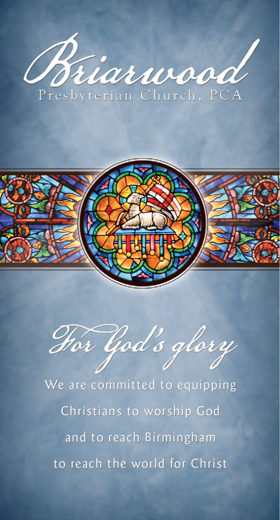



Hor God's glory

We are committed to equipping Christians to worship God and to reach Birmingham to reach the world for Christ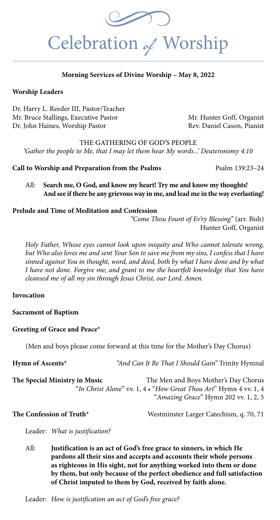

#### **Morning Services of Divine Worship – May 8, 2022**

#### **Worship Leaders**

Dr. Harry L. Reeder III, Pastor/Teacher Mr. Bruce Stallings, Executive Pastor Mr. Hunter Goff, Organist Dr. John Haines, Worship Pastor **Rev. Daniel Cason, Pianist** 

THE GATHERING OF GOD'S PEOPLE *'Gather the people to Me, that I may let them hear My words...' Deuteronomy 4:10*

**Call to Worship and Preparation from the Psalms** Psalm 139:23–24

All: **Search me, O God, and know my heart! Try me and know my thoughts! And see if there be any grievous way in me, and lead me in the way everlasting!**

**Prelude and Time of Meditation and Confession** 

*"Come Thou Fount of Ev'ry Blessing"* (arr. Bish) Hunter Goff, Organist

*Holy Father, Whose eyes cannot look upon iniquity and Who cannot tolerate wrong, but Who also loves me and sent Your Son to save me from my sins, I confess that I have sinned against You in thought, word, and deed, both by what I have done and by what I have not done. Forgive me; and grant to me the heartfelt knowledge that You have cleansed me of all my sin through Jesus Christ, our Lord. Amen.* 

#### **Invocation**

#### **Sacrament of Baptism**

#### **Greeting of Grace and Peace\***

(Men and boys please come forward at this time for the Mother's Day Chorus)

**Hymn of Ascents\*** *"And Can It Be That I Should Gain"* Trinity Hymnal **The Special Ministry in Music** The Men and Boys Mother's Day Chorus "*In Christ Alone*" vv. 1, 4 • "*How Great Thou Art*" Hymn 4 vv. 1, 4 "*Amazing Grace*" Hymn 202 vv. 1, 2, 5

The Confession of Truth<sup>\*</sup> Westminster Larger Catechism, q. 70, 71

Leader: *What is justification?*

All: **Justification is an act of God's free grace to sinners, in which He pardons all their sins and accepts and accounts their whole persons as righteous in His sight, not for anything worked into them or done by them, but only because of the perfect obedience and full satisfaction of Christ imputed to them by God, received by faith alone.**

Leader: *How is justification an act of God's free grace?*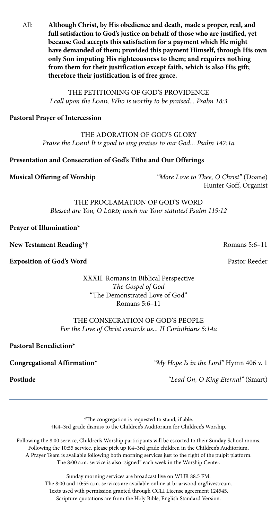full satisfaction to God's justice on behalf of those who are justified, yet<br>because God accepts this satisfaction for a payment which He might<br>have demanded of them; provided this payment Himself, through His own All: **Although Christ, by His obedience and death, made a proper, real, and full satisfaction to God's justice on behalf of those who are justified, yet because God accepts this satisfaction for a payment which He might have demanded of them; provided this payment Himself, through His own only Son imputing His righteousness to them; and requires nothing from them for their justification except faith, which is also His gift; therefore their justification is of free grace.**

> THE PETITIONING OF GOD'S PROVIDENCE *I call upon the LORD, Who is worthy to be praised... Psalm 18:3*

#### **Pastoral Prayer of Intercession**

THE ADORATION OF GOD'S GLORY *Praise the Lord! It is good to sing praises to our God... Psalm 147:1a*

#### **Presentation and Consecration of God's Tithe and Our Offerings**

**Musical Offering of Worship** *"More Love to Thee, O Christ"* (Doane) Hunter Goff, Organist

> THE PROCLAMATION OF GOD'S WORD *Blessed are You, O Lord; teach me Your statutes! Psalm 119:12*

**Prayer of Illumination\***

**New Testament Reading\*†** Romans 5:6–11

**Exposition of God's Word** Pastor Reeder

XXXII. Romans in Biblical Perspective *The Gospel of God* "The Demonstrated Love of God" Romans 5:6–11

THE CONSECRATION OF GOD'S PEOPLE *For the Love of Christ controls us... II Corinthians 5:14a*

**Pastoral Benediction\***

**Congregational Affirmation\*** *"My Hope Is in the Lord"* Hymn 406 v. 1

**Postlude** *Postlude Postlude Postlude Postlude Postlude Postlude Postlude Postlude* **<b>***Postlude Postlude Postlude Postlude Postlude Postlude Postlude Postlude Po* 

\*The congregation is requested to stand, if able. †K4–3rd grade dismiss to the Children's Auditorium for Children's Worship.

Following the 8:00 service, Children's Worship participants will be escorted to their Sunday School rooms. Following the 10:55 service, please pick up K4-3rd grade children in the Children's Auditorium. A Prayer Team is available following both morning services just to the right of the pulpit platform. The 8:00 a.m. service is also "signed" each week in the Worship Center.

> Sunday morning services are broadcast live on WLJR 88.5 FM. The 8:00 and 10:55 a.m. services are available online at briarwood.org/livestream. Texts used with permission granted through CCLI License agreement 124545. Scripture quotations are from the Holy Bible, English Standard Version.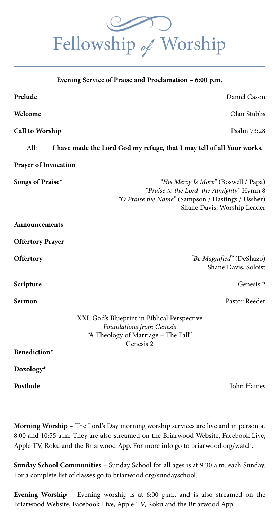Fellowship  $\phi$  Worship

| Evening Service of Praise and Proclamation - 6:00 p.m.                         |                                                                                                                              |                                                                     |
|--------------------------------------------------------------------------------|------------------------------------------------------------------------------------------------------------------------------|---------------------------------------------------------------------|
| Prelude                                                                        |                                                                                                                              | Daniel Cason                                                        |
| Welcome                                                                        |                                                                                                                              | Olan Stubbs                                                         |
| <b>Call to Worship</b>                                                         |                                                                                                                              | Psalm 73:28                                                         |
| All:<br>I have made the Lord God my refuge, that I may tell of all Your works. |                                                                                                                              |                                                                     |
| <b>Prayer of Invocation</b>                                                    |                                                                                                                              |                                                                     |
| Songs of Praise*                                                               | "Praise to the Lord, the Almighty" Hymn 8<br>"O Praise the Name" (Sampson / Hastings / Ussher)                               | "His Mercy Is More" (Boswell / Papa)<br>Shane Davis, Worship Leader |
| Announcements                                                                  |                                                                                                                              |                                                                     |
| <b>Offertory Prayer</b>                                                        |                                                                                                                              |                                                                     |
| Offertory                                                                      |                                                                                                                              | "Be Magnified" (DeShazo)<br>Shane Davis, Soloist                    |
| Scripture                                                                      |                                                                                                                              | Genesis 2                                                           |
| Sermon                                                                         |                                                                                                                              | Pastor Reeder                                                       |
|                                                                                | XXI. God's Blueprint in Biblical Perspective<br>Foundations from Genesis<br>"A Theology of Marriage - The Fall"<br>Genesis 2 |                                                                     |
| Benediction*                                                                   |                                                                                                                              |                                                                     |
| Doxology*                                                                      |                                                                                                                              |                                                                     |
| Postlude                                                                       |                                                                                                                              | John Haines                                                         |

**Morning Worship** – The Lord's Day morning worship services are live and in person at 8:00 and 10:55 a.m. They are also streamed on the Briarwood Website, Facebook Live, Apple TV, Roku and the Briarwood App. For more info go to briarwood.org/watch.

**Sunday School Communities** – Sunday School for all ages is at 9:30 a.m. each Sunday. For a complete list of classes go to briarwood.org/sundayschool.

**Evening Worship** – Evening worship is at 6:00 p.m., and is also streamed on the Briarwood Website, Facebook Live, Apple TV, Roku and the Briarwood App.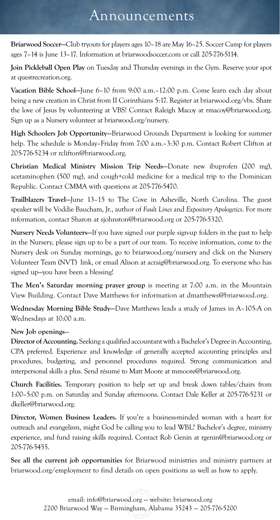### Announcements

**Briarwood Soccer—**Club tryouts for players ages 10–18 are May 16–25. Soccer Camp for players ages 7–14 is June 13–17. Information at briarwoodsoccer.com or call 205-776-5114.

**Join Pickleball Open Play** on Tuesday and Thursday evenings in the Gym. Reserve your spot at questrecreation.org.

**Vacation Bible School—**June 6–10 from 9:00 a.m.–12:00 p.m. Come learn each day about being a new creation in Christ from II Corinthians 5:17. Register at briarwood.org/vbs. Share the love of Jesus by volunteering at VBS! Contact Raleigh Macoy at rmacoy@briarwood.org. Sign up as a Nursery volunteer at briarwood.org/nursery.

**High Schoolers Job Opportunity—**Briarwood Grounds Department is looking for summer help. The schedule is Monday–Friday from 7:00 a.m.–3:30 p.m. Contact Robert Clifton at 205-776-5234 or rclifton@briarwood.org.

**Christian Medical Ministry Mission Trip Needs—**Donate new ibuprofen (200 mg), acetaminophen (500 mg), and cough+cold medicine for a medical trip to the Dominican Republic. Contact CMMA with questions at 205-776-5470.

**Trailblazers Travel—**June 13–15 to The Cove in Asheville, North Carolina. The guest speaker will be Voddie Baucham, Jr., author of *Fault Lines* and *Expository Apologetics*. For more information, contact Sharon at sjohnston@briarwood.org or 205-776-5320.

**Nursery Needs Volunteers—**If you have signed our purple sign-up folders in the past to help in the Nursery, please sign up to be a part of our team. To receive information, come to the Nursery desk on Sunday mornings, go to briarwood.org/nursery and click on the Nursery Volunteer Team (NVT) link, or email Alison at acraig@briarwood.org. To everyone who has signed up—you have been a blessing!

**The Men's Saturday morning prayer group** is meeting at 7:00 a.m. in the Mountain View Building. Contact Dave Matthews for information at dmatthews@briarwood.org.

**Wednesday Morning Bible Study—**Dave Matthews leads a study of James in A–105-A on Wednesdays at 10:00 a.m.

#### **New Job openings**—

**Director of Accounting.** Seeking a qualified accountant with a Bachelor's Degree in Accounting, CPA preferred. Experience and knowledge of generally accepted accounting principles and procedures, budgeting, and personnel procedures required. Strong communication and interpersonal skills a plus. Send résumé to Matt Moore at mmoore@briarwood.org.

**Church Facilities.** Temporary position to help set up and break down tables/chairs from 1:00–5:00 p.m. on Saturday and Sunday afternoons. Contact Dale Keller at 205-776-5231 or dkeller@briarwood.org.

**Director, Women Business Leaders.** If you're a business-minded woman with a heart for outreach and evangelism, might God be calling you to lead WBL? Bachelor's degree, ministry experience, and fund raising skills required. Contact Rob Genin at rgenin@briarwood.org or 205-776-5455.

**See all the current job opportunities** for Briarwood ministries and ministry partners at briarwood.org/employment to find details on open positions as well as how to apply.